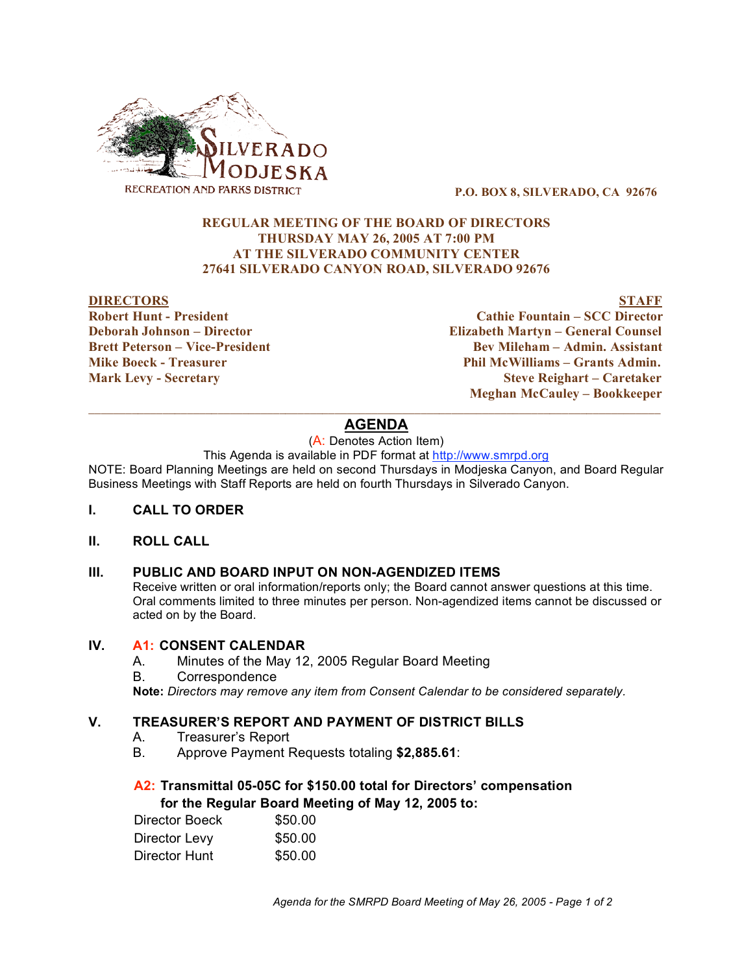

**P.O. BOX 8, SILVERADO, CA 92676**

### **REGULAR MEETING OF THE BOARD OF DIRECTORS THURSDAY MAY 26, 2005 AT 7:00 PM AT THE SILVERADO COMMUNITY CENTER 27641 SILVERADO CANYON ROAD, SILVERADO 92676**

#### **DIRECTORS STAFF**

**Robert Hunt - President Cathie Fountain – SCC Director Deborah Johnson – Director Elizabeth Martyn – General Counsel Brett Peterson – Vice-President Bev Mileham – Admin. Assistant Mike Boeck - Treasurer Phil McWilliams – Grants Admin. Mark Levy - Secretary Steve Reighart – Caretaker Meghan McCauley – Bookkeeper**

### $\overline{\phantom{a}}$  ,  $\overline{\phantom{a}}$  ,  $\overline{\phantom{a}}$  ,  $\overline{\phantom{a}}$  ,  $\overline{\phantom{a}}$  ,  $\overline{\phantom{a}}$  ,  $\overline{\phantom{a}}$  ,  $\overline{\phantom{a}}$  ,  $\overline{\phantom{a}}$  ,  $\overline{\phantom{a}}$  ,  $\overline{\phantom{a}}$  ,  $\overline{\phantom{a}}$  ,  $\overline{\phantom{a}}$  ,  $\overline{\phantom{a}}$  ,  $\overline{\phantom{a}}$  ,  $\overline{\phantom{a}}$ **AGENDA**

(A: Denotes Action Item)

This Agenda is available in PDF format at http://www.smrpd.org

NOTE: Board Planning Meetings are held on second Thursdays in Modjeska Canyon, and Board Regular Business Meetings with Staff Reports are held on fourth Thursdays in Silverado Canyon.

#### **I. CALL TO ORDER**

### **II. ROLL CALL**

#### **III. PUBLIC AND BOARD INPUT ON NON-AGENDIZED ITEMS**

Receive written or oral information/reports only; the Board cannot answer questions at this time. Oral comments limited to three minutes per person. Non-agendized items cannot be discussed or acted on by the Board.

#### **IV. A1: CONSENT CALENDAR**

- A. Minutes of the May 12, 2005 Regular Board Meeting
- B. Correspondence

**Note:** *Directors may remove any item from Consent Calendar to be considered separately.*

## **V. TREASURER'S REPORT AND PAYMENT OF DISTRICT BILLS**

- A. Treasurer's Report
- B. Approve Payment Requests totaling **\$2,885.61**:

## **A2: Transmittal 05-05C for \$150.00 total for Directors' compensation for the Regular Board Meeting of May 12, 2005 to:**

| Director Boeck | \$50.00 |
|----------------|---------|
| Director Levy  | \$50.00 |
| Director Hunt  | \$50.00 |